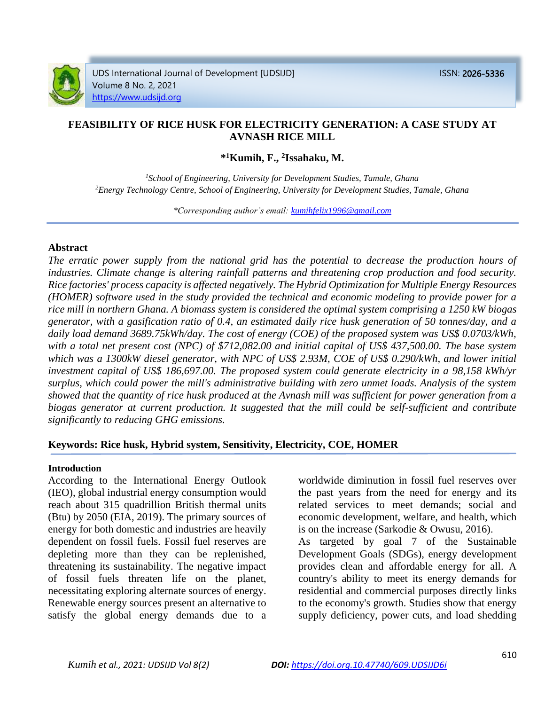

UDS International Journal of Development [UDSIJD] ISSN: 2026-5336 Volume 8 No. 2, 2021 [https://www.udsijd.org](https://www.udsijd.org/)

# **FEASIBILITY OF RICE HUSK FOR ELECTRICITY GENERATION: A CASE STUDY AT AVNASH RICE MILL**

**\* <sup>1</sup>Kumih, F., <sup>2</sup> Issahaku, M.**

*<sup>1</sup>School of Engineering, University for Development Studies, Tamale, Ghana <sup>2</sup>Energy Technology Centre, School of Engineering, University for Development Studies, Tamale, Ghana*

*\*Corresponding author's email: [kumihfelix1996@gmail.com](mailto:kumihfelix1996@gmail.com)* 

#### **Abstract**

*The erratic power supply from the national grid has the potential to decrease the production hours of industries. Climate change is altering rainfall patterns and threatening crop production and food security. Rice factories' process capacity is affected negatively. The Hybrid Optimization for Multiple Energy Resources (HOMER) software used in the study provided the technical and economic modeling to provide power for a rice mill in northern Ghana. A biomass system is considered the optimal system comprising a 1250 kW biogas generator, with a gasification ratio of 0.4, an estimated daily rice husk generation of 50 tonnes/day, and a daily load demand 3689.75kWh/day. The cost of energy (COE) of the proposed system was US\$ 0.0703/kWh, with a total net present cost (NPC) of \$712,082.00 and initial capital of US\$ 437,500.00. The base system which was a 1300kW diesel generator, with NPC of US\$ 2.93M, COE of US\$ 0.290/kWh, and lower initial investment capital of US\$ 186,697.00. The proposed system could generate electricity in a 98,158 kWh/yr surplus, which could power the mill's administrative building with zero unmet loads. Analysis of the system showed that the quantity of rice husk produced at the Avnash mill was sufficient for power generation from a biogas generator at current production. It suggested that the mill could be self-sufficient and contribute significantly to reducing GHG emissions.* 

### **Keywords: Rice husk, Hybrid system, Sensitivity, Electricity, COE, HOMER**

#### **Introduction**

According to the International Energy Outlook (IEO), global industrial energy consumption would reach about 315 quadrillion British thermal units (Btu) by 2050 (EIA, 2019). The primary sources of energy for both domestic and industries are heavily dependent on fossil fuels. Fossil fuel reserves are depleting more than they can be replenished, threatening its sustainability. The negative impact of fossil fuels threaten life on the planet, necessitating exploring alternate sources of energy. Renewable energy sources present an alternative to satisfy the global energy demands due to a

worldwide diminution in fossil fuel reserves over the past years from the need for energy and its related services to meet demands; social and economic development, welfare, and health, which is on the increase (Sarkodie & Owusu, 2016).

As targeted by goal 7 of the Sustainable Development Goals (SDGs), energy development provides clean and affordable energy for all. A country's ability to meet its energy demands for residential and commercial purposes directly links to the economy's growth. Studies show that energy supply deficiency, power cuts, and load shedding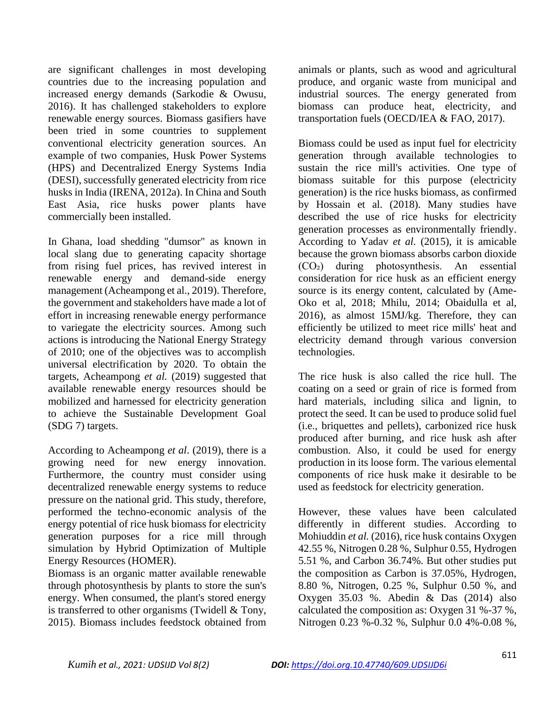are significant challenges in most developing countries due to the increasing population and increased energy demands (Sarkodie & Owusu, 2016). It has challenged stakeholders to explore renewable energy sources. Biomass gasifiers have been tried in some countries to supplement conventional electricity generation sources. An example of two companies, Husk Power Systems (HPS) and Decentralized Energy Systems India (DESI), successfully generated electricity from rice husks in India (IRENA, 2012a). In China and South East Asia, rice husks power plants have commercially been installed.

In Ghana, load shedding "dumsor" as known in local slang due to generating capacity shortage from rising fuel prices, has revived interest in renewable energy and demand-side energy management (Acheampong et al., 2019). Therefore, the government and stakeholders have made a lot of effort in increasing renewable energy performance to variegate the electricity sources. Among such actions is introducing the National Energy Strategy of 2010; one of the objectives was to accomplish universal electrification by 2020. To obtain the targets, Acheampong *et al.* (2019) suggested that available renewable energy resources should be mobilized and harnessed for electricity generation to achieve the Sustainable Development Goal (SDG 7) targets.

According to Acheampong *et al*. (2019), there is a growing need for new energy innovation. Furthermore, the country must consider using decentralized renewable energy systems to reduce pressure on the national grid. This study, therefore, performed the techno-economic analysis of the energy potential of rice husk biomass for electricity generation purposes for a rice mill through simulation by Hybrid Optimization of Multiple Energy Resources (HOMER).

Biomass is an organic matter available renewable through photosynthesis by plants to store the sun's energy. When consumed, the plant's stored energy is transferred to other organisms (Twidell & Tony, 2015). Biomass includes feedstock obtained from

animals or plants, such as wood and agricultural produce, and organic waste from municipal and industrial sources. The energy generated from biomass can produce heat, electricity, and transportation fuels (OECD/IEA & FAO, 2017).

Biomass could be used as input fuel for electricity generation through available technologies to sustain the rice mill's activities. One type of biomass suitable for this purpose (electricity generation) is the rice husks biomass, as confirmed by Hossain et al. (2018). Many studies have described the use of rice husks for electricity generation processes as environmentally friendly. According to Yadav *et al.* (2015), it is amicable because the grown biomass absorbs carbon dioxide (CO₂) during photosynthesis. An essential consideration for rice husk as an efficient energy source is its energy content, calculated by (Ame-Oko et al, 2018; Mhilu, 2014; Obaidulla et al, 2016), as almost 15MJ/kg. Therefore, they can efficiently be utilized to meet rice mills' heat and electricity demand through various conversion technologies.

The rice husk is also called the rice hull. The coating on a seed or grain of rice is formed from hard materials, including silica and lignin, to protect the seed. It can be used to produce solid fuel (i.e., briquettes and pellets), carbonized rice husk produced after burning, and rice husk ash after combustion. Also, it could be used for energy production in its loose form. The various elemental components of rice husk make it desirable to be used as feedstock for electricity generation.

However, these values have been calculated differently in different studies. According to Mohiuddin *et al.* (2016), rice husk contains Oxygen 42.55 %, Nitrogen 0.28 %, Sulphur 0.55, Hydrogen 5.51 %, and Carbon 36.74%. But other studies put the composition as Carbon is 37.05%, Hydrogen, 8.80 %, Nitrogen, 0.25 %, Sulphur 0.50 %, and Oxygen 35.03 %. Abedin & Das (2014) also calculated the composition as: Oxygen 31 %-37 %, Nitrogen 0.23 %-0.32 %, Sulphur 0.0 4%-0.08 %,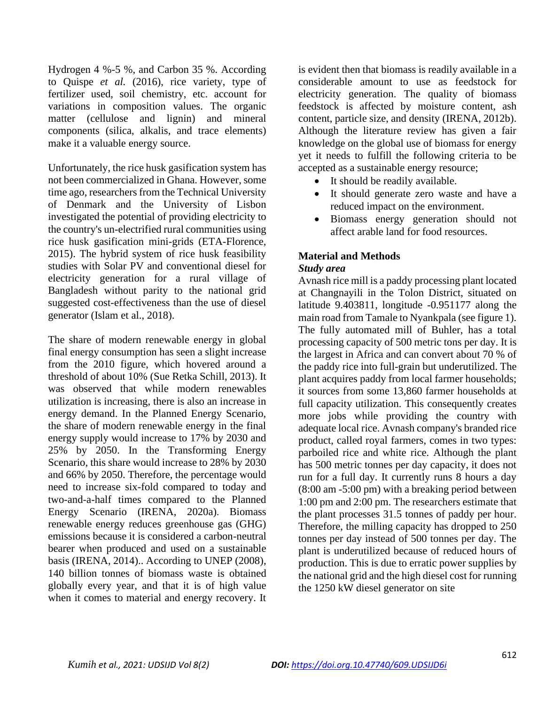Hydrogen 4 %-5 %, and Carbon 35 %. According to Quispe *et al.* (2016), rice variety, type of fertilizer used, soil chemistry, etc. account for variations in composition values. The organic matter (cellulose and lignin) and mineral components (silica, alkalis, and trace elements) make it a valuable energy source.

Unfortunately, the rice husk gasification system has not been commercialized in Ghana. However, some time ago, researchers from the Technical University of Denmark and the University of Lisbon investigated the potential of providing electricity to the country's un-electrified rural communities using rice husk gasification mini-grids (ETA-Florence, 2015). The hybrid system of rice husk feasibility studies with Solar PV and conventional diesel for electricity generation for a rural village of Bangladesh without parity to the national grid suggested cost-effectiveness than the use of diesel generator (Islam et al., 2018).

The share of modern renewable energy in global final energy consumption has seen a slight increase from the 2010 figure, which hovered around a threshold of about 10% (Sue Retka Schill, 2013). It was observed that while modern renewables utilization is increasing, there is also an increase in energy demand. In the Planned Energy Scenario, the share of modern renewable energy in the final energy supply would increase to 17% by 2030 and 25% by 2050. In the Transforming Energy Scenario, this share would increase to 28% by 2030 and 66% by 2050. Therefore, the percentage would need to increase six-fold compared to today and two-and-a-half times compared to the Planned Energy Scenario (IRENA, 2020a). Biomass renewable energy reduces greenhouse gas (GHG) emissions because it is considered a carbon-neutral bearer when produced and used on a sustainable basis (IRENA, 2014).. According to UNEP (2008), 140 billion tonnes of biomass waste is obtained globally every year, and that it is of high value when it comes to material and energy recovery. It

is evident then that biomass is readily available in a considerable amount to use as feedstock for electricity generation. The quality of biomass feedstock is affected by moisture content, ash content, particle size, and density (IRENA, 2012b). Although the literature review has given a fair knowledge on the global use of biomass for energy yet it needs to fulfill the following criteria to be accepted as a sustainable energy resource;

- It should be readily available.
- It should generate zero waste and have a reduced impact on the environment.
- Biomass energy generation should not affect arable land for food resources.

# **Material and Methods** *Study area*

Avnash rice mill is a paddy processing plant located at Changnayili in the Tolon District, situated on latitude 9.403811, longitude -0.951177 along the main road from Tamale to Nyankpala (see figure 1). The fully automated mill of Buhler, has a total processing capacity of 500 metric tons per day. It is the largest in Africa and can convert about 70 % of the paddy rice into full-grain but underutilized. The plant acquires paddy from local farmer households; it sources from some 13,860 farmer households at full capacity utilization. This consequently creates more jobs while providing the country with adequate local rice. Avnash company's branded rice product, called royal farmers, comes in two types: parboiled rice and white rice. Although the plant has 500 metric tonnes per day capacity, it does not run for a full day. It currently runs 8 hours a day (8:00 am -5:00 pm) with a breaking period between 1:00 pm and 2:00 pm. The researchers estimate that the plant processes 31.5 tonnes of paddy per hour. Therefore, the milling capacity has dropped to 250 tonnes per day instead of 500 tonnes per day. The plant is underutilized because of reduced hours of production. This is due to erratic power supplies by the national grid and the high diesel cost for running the 1250 kW diesel generator on site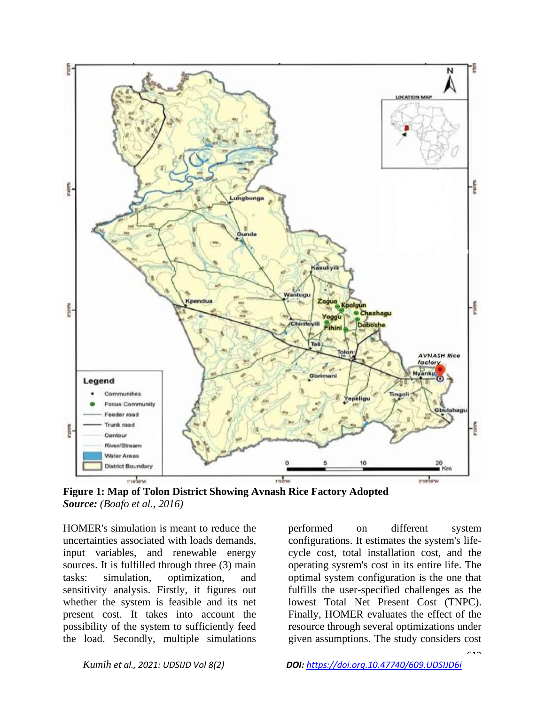

**Figure 1: Map of Tolon District Showing Avnash Rice Factory Adopted** *Source: (Boafo et al., 2016)*

HOMER's simulation is meant to reduce the uncertainties associated with loads demands, input variables, and renewable energy sources. It is fulfilled through three (3) main tasks: simulation, optimization, and sensitivity analysis. Firstly, it figures out whether the system is feasible and its net present cost. It takes into account the possibility of the system to sufficiently feed the load. Secondly, multiple simulations

performed on different system configurations. It estimates the system's lifecycle cost, total installation cost, and the operating system's cost in its entire life. The optimal system configuration is the one that fulfills the user-specified challenges as the lowest Total Net Present Cost (TNPC). Finally, HOMER evaluates the effect of the resource through several optimizations under given assumptions. The study considers cost

 $613$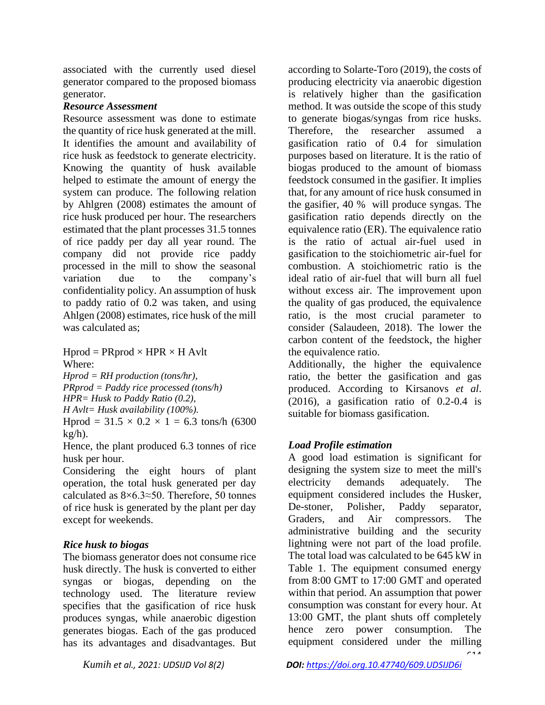associated with the currently used diesel generator compared to the proposed biomass generator.

# *Resource Assessment*

Resource assessment was done to estimate the quantity of rice husk generated at the mill. It identifies the amount and availability of rice husk as feedstock to generate electricity. Knowing the quantity of husk available helped to estimate the amount of energy the system can produce. The following relation by Ahlgren (2008) estimates the amount of rice husk produced per hour. The researchers estimated that the plant processes 31.5 tonnes of rice paddy per day all year round. The company did not provide rice paddy processed in the mill to show the seasonal variation due to the company's confidentiality policy. An assumption of husk to paddy ratio of 0.2 was taken, and using Ahlgen (2008) estimates, rice husk of the mill was calculated as;

 $Hprod = PRprod \times HPR \times H$  Avlt Where:

*Hprod = RH production (tons/hr), PRprod = Paddy rice processed (tons/h) HPR= Husk to Paddy Ratio (0.2), H Avlt= Husk availability (100%).*

Hprod =  $31.5 \times 0.2 \times 1 = 6.3$  tons/h (6300)  $kg/h$ ).

Hence, the plant produced 6.3 tonnes of rice husk per hour.

Considering the eight hours of plant operation, the total husk generated per day calculated as 8×6.3≈50. Therefore, 50 tonnes of rice husk is generated by the plant per day except for weekends.

# *Rice husk to biogas*

The biomass generator does not consume rice husk directly. The husk is converted to either syngas or biogas, depending on the technology used. The literature review specifies that the gasification of rice husk produces syngas, while anaerobic digestion generates biogas. Each of the gas produced has its advantages and disadvantages. But according to Solarte-Toro (2019), the costs of producing electricity via anaerobic digestion is relatively higher than the gasification method. It was outside the scope of this study to generate biogas/syngas from rice husks. Therefore, the researcher assumed a gasification ratio of 0.4 for simulation purposes based on literature. It is the ratio of biogas produced to the amount of biomass feedstock consumed in the gasifier. It implies that, for any amount of rice husk consumed in the gasifier, 40 % will produce syngas. The gasification ratio depends directly on the equivalence ratio (ER). The equivalence ratio is the ratio of actual air-fuel used in gasification to the stoichiometric air-fuel for combustion. A stoichiometric ratio is the ideal ratio of air-fuel that will burn all fuel without excess air. The improvement upon the quality of gas produced, the equivalence ratio, is the most crucial parameter to consider (Salaudeen, 2018). The lower the carbon content of the feedstock, the higher the equivalence ratio.

Additionally, the higher the equivalence ratio, the better the gasification and gas produced. According to Kirsanovs *et al*. (2016), a gasification ratio of 0.2-0.4 is suitable for biomass gasification.

# *Load Profile estimation*

A good load estimation is significant for designing the system size to meet the mill's electricity demands adequately. The equipment considered includes the Husker, De-stoner, Polisher, Paddy separator, Graders, and Air compressors. The administrative building and the security lightning were not part of the load profile. The total load was calculated to be 645 kW in Table 1. The equipment consumed energy from 8:00 GMT to 17:00 GMT and operated within that period. An assumption that power consumption was constant for every hour. At 13:00 GMT, the plant shuts off completely hence zero power consumption. The equipment considered under the milling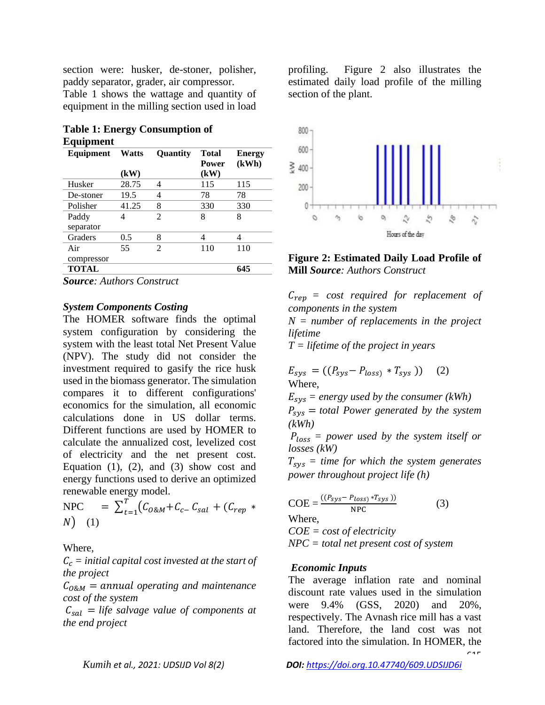section were: husker, de-stoner, polisher, paddy separator, grader, air compressor.

Table 1 shows the wattage and quantity of equipment in the milling section used in load

|           | <b>Table 1: Energy Consumption of</b> |
|-----------|---------------------------------------|
| Equipment |                                       |

| Equipment    | <b>Watts</b> | <b>Ouantity</b> | <b>Total</b> | <b>Energy</b> |
|--------------|--------------|-----------------|--------------|---------------|
|              |              |                 | <b>Power</b> | (kWh)         |
|              | (kW)         |                 | (kW)         |               |
| Husker       | 28.75        | 4               | 115          | 115           |
| De-stoner    | 19.5         | 4               | 78           | 78            |
| Polisher     | 41.25        | 8               | 330          | 330           |
| Paddy        | 4            | $\mathfrak{D}$  | 8            | 8             |
| separator    |              |                 |              |               |
| Graders      | 0.5          | 8               | 4            | 4             |
| Air          | 55           | $\mathfrak{D}$  | 110          | 110           |
| compressor   |              |                 |              |               |
| <b>TOTAL</b> |              |                 |              | 645           |

*Source: Authors Construct*

#### *System Components Costing*

The HOMER software finds the optimal system configuration by considering the system with the least total Net Present Value (NPV). The study did not consider the investment required to gasify the rice husk used in the biomass generator. The simulation compares it to different configurations' economics for the simulation, all economic calculations done in US dollar terms. Different functions are used by HOMER to calculate the annualized cost, levelized cost of electricity and the net present cost. Equation  $(1)$ ,  $(2)$ , and  $(3)$  show cost and energy functions used to derive an optimized renewable energy model.

$$
\text{NPC} = \sum_{t=1}^{T} (C_{0\&M} + C_{c-} C_{sal} + (C_{rep} * N))
$$
 (1)

#### Where,

 $C_c$  = initial capital cost invested at the start of *the project* 

 $C_{0.8M}$  = annual operating and maintenance *cost of the system*

 $C_{sal}$  = *life salvage value of components at the end project*

profiling. Figure 2 also illustrates the estimated daily load profile of the milling section of the plant.



#### **Figure 2: Estimated Daily Load Profile of Mill** *Source: Authors Construct*

 $C_{ren}$  = cost required for replacement of *components in the system*

*N = number of replacements in the project lifetime* 

*T = lifetime of the project in years* 

 $E_{sys} = ((P_{sys} - P_{loss}) * T_{sys})$  (2) Where,

 $E_{sys}$  = energy used by the consumer (kWh)

 $P_{sys}$  = total Power generated by the system *(kWh)*

 *= power used by the system itself or losses (kW)*

 $T_{sys}$  = time for which the system generates *power throughout project life (h)*

$$
COE = \frac{((P_{sys} - P_{loss}) * T_{sys}))}{NPC}
$$
 (3)

Where,

*COE = cost of electricity NPC = total net present cost of system*

#### *Economic Inputs*

 $645$ The average inflation rate and nominal discount rate values used in the simulation were 9.4% (GSS, 2020) and 20%, respectively. The Avnash rice mill has a vast land. Therefore, the land cost was not factored into the simulation. In HOMER, the

*Kumih et al., 2021: UDSIJD Vol 8(2) DOI: <https://doi.org.10.47740/609.UDSIJD6i>*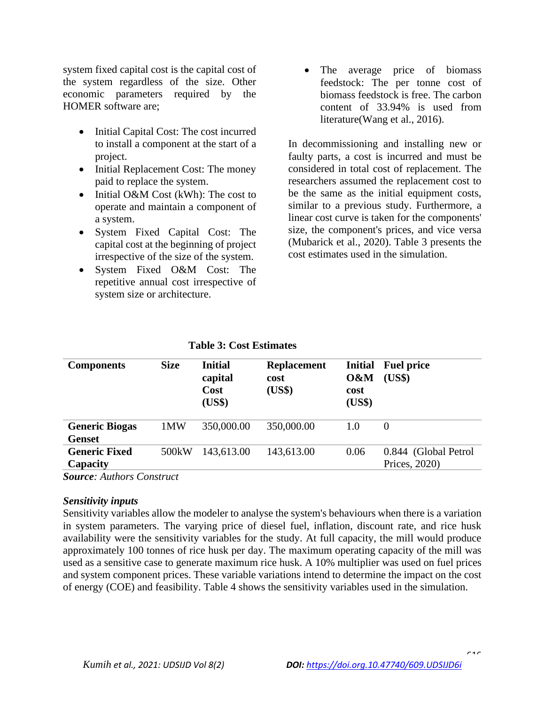system fixed capital cost is the capital cost of the system regardless of the size. Other economic parameters required by the HOMER software are;

- Initial Capital Cost: The cost incurred to install a component at the start of a project.
- Initial Replacement Cost: The money paid to replace the system.
- Initial O&M Cost (kWh): The cost to operate and maintain a component of a system.
- System Fixed Capital Cost: The capital cost at the beginning of project irrespective of the size of the system.
- System Fixed O&M Cost: The repetitive annual cost irrespective of system size or architecture.

• The average price of biomass feedstock: The per tonne cost of biomass feedstock is free. The carbon content of 33.94% is used from literature(Wang et al., 2016).

In decommissioning and installing new or faulty parts, a cost is incurred and must be considered in total cost of replacement. The researchers assumed the replacement cost to be the same as the initial equipment costs, similar to a previous study. Furthermore, a linear cost curve is taken for the components' size, the component's prices, and vice versa (Mubarick et al., 2020). Table 3 presents the cost estimates used in the simulation.

| <b>Components</b>                      | <b>Size</b>        | <b>Initial</b><br>capital<br>Cost<br>(US\$) | <b>Replacement</b><br>cost<br>(US\$) | <b>Initial</b><br>0&M<br>cost<br>(US\$) | <b>Fuel price</b><br>(US\$)           |
|----------------------------------------|--------------------|---------------------------------------------|--------------------------------------|-----------------------------------------|---------------------------------------|
| <b>Generic Biogas</b><br><b>Genset</b> | 1MW                | 350,000.00                                  | 350,000.00                           | 1.0                                     | $\Omega$                              |
| <b>Generic Fixed</b><br>Capacity       | 500 <sub>k</sub> W | 143,613.00                                  | 143,613.00                           | 0.06                                    | 0.844 (Global Petrol<br>Prices, 2020) |

*Source: Authors Construct*

### *Sensitivity inputs*

Sensitivity variables allow the modeler to analyse the system's behaviours when there is a variation in system parameters. The varying price of diesel fuel, inflation, discount rate, and rice husk availability were the sensitivity variables for the study. At full capacity, the mill would produce approximately 100 tonnes of rice husk per day. The maximum operating capacity of the mill was used as a sensitive case to generate maximum rice husk. A 10% multiplier was used on fuel prices and system component prices. These variable variations intend to determine the impact on the cost of energy (COE) and feasibility. Table 4 shows the sensitivity variables used in the simulation.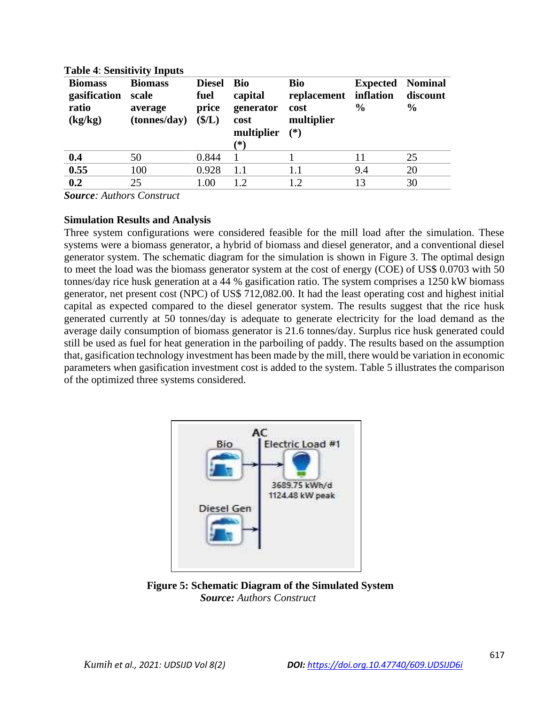| <b>Biomass</b><br>gasification<br>ratio<br>(kg/kg) | <b>Biomass</b><br>scale<br>average<br>(tonnes/day) | <b>Diesel</b><br>fuel<br>price<br>$(\frac{5}{L})$ | <b>Bio</b><br>capital<br>generator<br>cost<br>multiplier<br>(*) | Bio<br>replacement<br>cost<br>multiplier<br>$(*)$ | <b>Expected</b><br>inflation<br>$\%$ | <b>Nominal</b><br>discount<br>$\frac{6}{9}$ |
|----------------------------------------------------|----------------------------------------------------|---------------------------------------------------|-----------------------------------------------------------------|---------------------------------------------------|--------------------------------------|---------------------------------------------|
| 0.4                                                | 50                                                 | 0.844                                             |                                                                 |                                                   | 11                                   | 25                                          |
| 0.55                                               | 100                                                | 0.928                                             | 1.1                                                             | 1.1                                               | 9.4                                  | 20                                          |
| 0.2                                                | 25                                                 | 1.00                                              | 1.2                                                             | 1.2                                               | 13                                   | 30                                          |
|                                                    |                                                    |                                                   |                                                                 |                                                   |                                      |                                             |

#### **Table 4**: **Sensitivity Inputs**

*Source: Authors Construct*

### **Simulation Results and Analysis**

Three system configurations were considered feasible for the mill load after the simulation. These systems were a biomass generator, a hybrid of biomass and diesel generator, and a conventional diesel generator system. The schematic diagram for the simulation is shown in Figure 3. The optimal design to meet the load was the biomass generator system at the cost of energy (COE) of US\$ 0.0703 with 50 tonnes/day rice husk generation at a 44 % gasification ratio. The system comprises a 1250 kW biomass generator, net present cost (NPC) of US\$ 712,082.00. It had the least operating cost and highest initial capital as expected compared to the diesel generator system. The results suggest that the rice husk generated currently at 50 tonnes/day is adequate to generate electricity for the load demand as the average daily consumption of biomass generator is 21.6 tonnes/day. Surplus rice husk generated could still be used as fuel for heat generation in the parboiling of paddy. The results based on the assumption that, gasification technology investment has been made by the mill, there would be variation in economic parameters when gasification investment cost is added to the system. Table 5 illustrates the comparison of the optimized three systems considered.



 **Figure 5: Schematic Diagram of the Simulated System**  *Source: Authors Construct*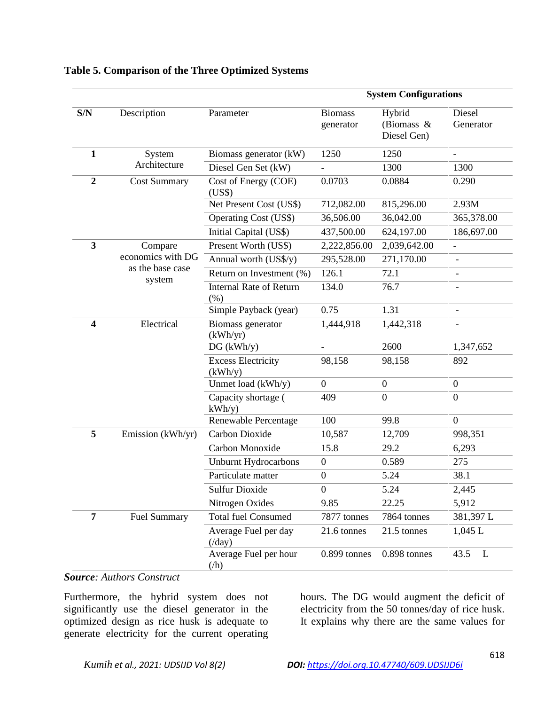|                         |                     | <b>System Configurations</b>           |                             |                                        |                          |  |
|-------------------------|---------------------|----------------------------------------|-----------------------------|----------------------------------------|--------------------------|--|
| S/N                     | Description         | Parameter                              | <b>Biomass</b><br>generator | Hybrid<br>(Biomass $\&$<br>Diesel Gen) | Diesel<br>Generator      |  |
| $\mathbf{1}$            | System              | Biomass generator (kW)                 | 1250                        | 1250                                   |                          |  |
|                         | Architecture        | Diesel Gen Set (kW)                    |                             | 1300                                   | 1300                     |  |
| $\overline{2}$          | <b>Cost Summary</b> | Cost of Energy (COE)<br>(US\$)         | 0.0703                      | 0.0884                                 | 0.290                    |  |
|                         |                     | Net Present Cost (US\$)                | 712,082.00                  | 815,296.00                             | 2.93M                    |  |
|                         |                     | <b>Operating Cost (US\$)</b>           | 36,506.00                   | 36,042.00                              | 365,378.00               |  |
|                         |                     | Initial Capital (US\$)                 | 437,500.00                  | 624,197.00                             | 186,697.00               |  |
| 3                       | Compare             | Present Worth (US\$)                   | 2,222,856.00                | 2,039,642.00                           | $\overline{\phantom{0}}$ |  |
|                         | economics with DG   | Annual worth (US\$/y)                  | 295,528.00                  | 271,170.00                             |                          |  |
|                         | as the base case    | Return on Investment (%)               | 126.1                       | 72.1                                   |                          |  |
|                         | system              | <b>Internal Rate of Return</b><br>(% ) | 134.0                       | 76.7                                   |                          |  |
|                         |                     | Simple Payback (year)                  | 0.75                        | 1.31                                   | $\overline{\phantom{a}}$ |  |
| $\overline{\mathbf{4}}$ | Electrical          | Biomass generator<br>(kWh/yr)          | 1,444,918                   | 1,442,318                              |                          |  |
|                         |                     | DG (kWh/y)                             | $\overline{\phantom{a}}$    | 2600                                   | 1,347,652                |  |
|                         |                     | <b>Excess Electricity</b><br>(kWh/y)   | 98,158                      | 98,158                                 | 892                      |  |
|                         |                     | Unmet load (kWh/y)                     | $\overline{0}$              | $\boldsymbol{0}$                       | $\overline{0}$           |  |
|                         |                     | Capacity shortage (<br>kWh/y           | 409                         | $\overline{0}$                         | $\overline{0}$           |  |
|                         |                     | Renewable Percentage                   | 100                         | 99.8                                   | $\overline{0}$           |  |
| 5                       | Emission (kWh/yr)   | Carbon Dioxide                         | 10,587                      | 12,709                                 | 998,351                  |  |
|                         |                     | Carbon Monoxide                        | 15.8                        | 29.2                                   | 6,293                    |  |
|                         |                     | <b>Unburnt Hydrocarbons</b>            | $\boldsymbol{0}$            | 0.589                                  | 275                      |  |
|                         |                     | Particulate matter                     | $\boldsymbol{0}$            | 5.24                                   | 38.1                     |  |
|                         |                     | <b>Sulfur Dioxide</b>                  | $\boldsymbol{0}$            | 5.24                                   | 2,445                    |  |
|                         |                     | Nitrogen Oxides                        | 9.85                        | 22.25                                  | 5,912                    |  |
| 7                       | <b>Fuel Summary</b> | <b>Total fuel Consumed</b>             | 7877 tonnes                 | 7864 tonnes                            | 381,397L                 |  |
|                         |                     | Average Fuel per day<br>$(\text{day})$ | 21.6 tonnes                 | 21.5 tonnes                            | 1,045 L                  |  |
|                         |                     | Average Fuel per hour<br>(h)           | 0.899 tonnes                | 0.898 tonnes                           | $\mathbf{L}$<br>43.5     |  |

# **Table 5. Comparison of the Three Optimized Systems**

# *Source: Authors Construct*

Furthermore, the hybrid system does not significantly use the diesel generator in the optimized design as rice husk is adequate to generate electricity for the current operating

hours. The DG would augment the deficit of electricity from the 50 tonnes/day of rice husk. It explains why there are the same values for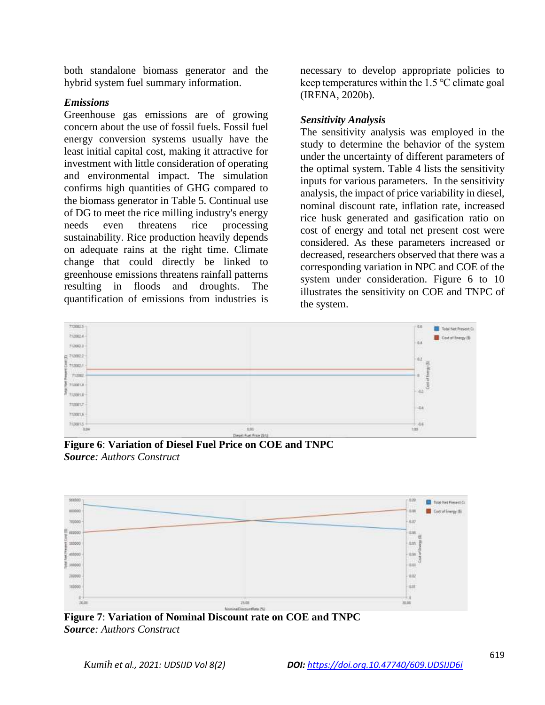both standalone biomass generator and the hybrid system fuel summary information.

## *Emissions*

Greenhouse gas emissions are of growing concern about the use of fossil fuels. Fossil fuel energy conversion systems usually have the least initial capital cost, making it attractive for investment with little consideration of operating and environmental impact. The simulation confirms high quantities of GHG compared to the biomass generator in Table 5. Continual use of DG to meet the rice milling industry's energy needs even threatens rice processing sustainability. Rice production heavily depends on adequate rains at the right time. Climate change that could directly be linked to greenhouse emissions threatens rainfall patterns resulting in floods and droughts. The quantification of emissions from industries is necessary to develop appropriate policies to keep temperatures within the 1.5 ℃ climate goal (IRENA, 2020b).

## *Sensitivity Analysis*

The sensitivity analysis was employed in the study to determine the behavior of the system under the uncertainty of different parameters of the optimal system. Table 4 lists the sensitivity inputs for various parameters. In the sensitivity analysis, the impact of price variability in diesel, nominal discount rate, inflation rate, increased rice husk generated and gasification ratio on cost of energy and total net present cost were considered. As these parameters increased or decreased, researchers observed that there was a corresponding variation in NPC and COE of the system under consideration. Figure 6 to 10 illustrates the sensitivity on COE and TNPC of the system.



**Figure 6**: **Variation of Diesel Fuel Price on COE and TNPC** *Source: Authors Construct*



**Figure 7**: **Variation of Nominal Discount rate on COE and TNPC** *Source: Authors Construct*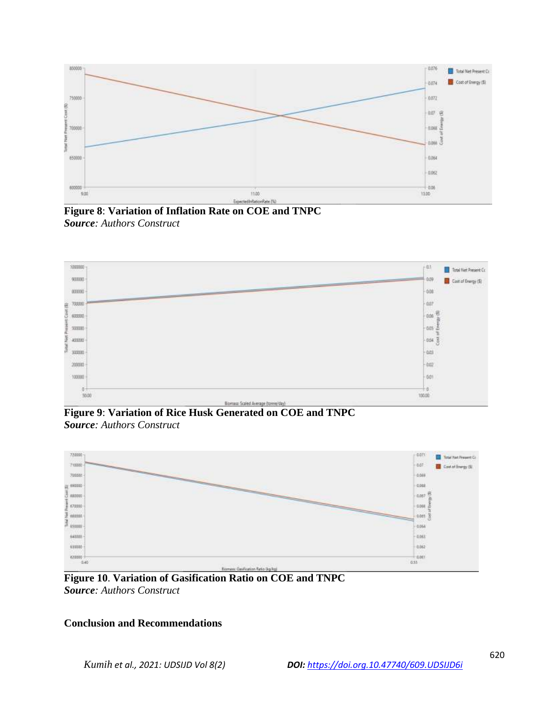

**Figure 8**: **Variation of Inflation Rate on COE and TNPC** *Source: Authors Construct*



**Figure 9**: **Variation of Rice Husk Generated on COE and TNPC** *Source: Authors Construct*



**Figure 10**. **Variation of Gasification Ratio on COE and TNPC** *Source: Authors Construct*

# **Conclusion and Recommendations**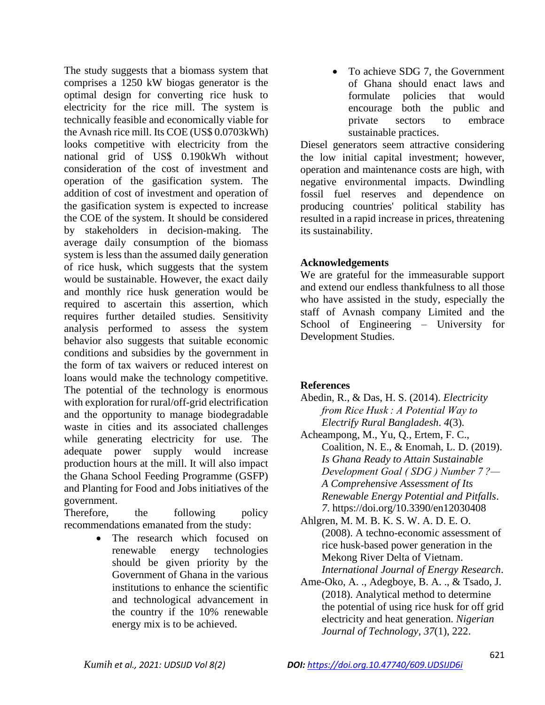The study suggests that a biomass system that comprises a 1250 kW biogas generator is the optimal design for converting rice husk to electricity for the rice mill. The system is technically feasible and economically viable for the Avnash rice mill. Its COE (US\$ 0.0703kWh) looks competitive with electricity from the national grid of US\$ 0.190kWh without consideration of the cost of investment and operation of the gasification system. The addition of cost of investment and operation of the gasification system is expected to increase the COE of the system. It should be considered by stakeholders in decision-making. The average daily consumption of the biomass system is less than the assumed daily generation of rice husk, which suggests that the system would be sustainable. However, the exact daily and monthly rice husk generation would be required to ascertain this assertion, which requires further detailed studies. Sensitivity analysis performed to assess the system behavior also suggests that suitable economic conditions and subsidies by the government in the form of tax waivers or reduced interest on loans would make the technology competitive. The potential of the technology is enormous with exploration for rural/off-grid electrification and the opportunity to manage biodegradable waste in cities and its associated challenges while generating electricity for use. The adequate power supply would increase production hours at the mill. It will also impact the Ghana School Feeding Programme (GSFP) and Planting for Food and Jobs initiatives of the government.

Therefore, the following policy recommendations emanated from the study:

> • The research which focused on renewable energy technologies should be given priority by the Government of Ghana in the various institutions to enhance the scientific and technological advancement in the country if the 10% renewable energy mix is to be achieved.

• To achieve SDG 7, the Government of Ghana should enact laws and formulate policies that would encourage both the public and private sectors to embrace sustainable practices.

Diesel generators seem attractive considering the low initial capital investment; however, operation and maintenance costs are high, with negative environmental impacts. Dwindling fossil fuel reserves and dependence on producing countries' political stability has resulted in a rapid increase in prices, threatening its sustainability.

# **Acknowledgements**

We are grateful for the immeasurable support and extend our endless thankfulness to all those who have assisted in the study, especially the staff of Avnash company Limited and the School of Engineering – University for Development Studies.

# **References**

- Abedin, R., & Das, H. S. (2014). *Electricity from Rice Husk : A Potential Way to Electrify Rural Bangladesh*. *4*(3).
- Acheampong, M., Yu, Q., Ertem, F. C., Coalition, N. E., & Enomah, L. D. (2019). *Is Ghana Ready to Attain Sustainable Development Goal ( SDG ) Number 7 ?— A Comprehensive Assessment of Its Renewable Energy Potential and Pitfalls*. *7*. https://doi.org/10.3390/en12030408
- Ahlgren, M. M. B. K. S. W. A. D. E. O. (2008). A techno-economic assessment of rice husk-based power generation in the Mekong River Delta of Vietnam. *International Journal of Energy Research*.
- Ame-Oko, A. ., Adegboye, B. A. ., & Tsado, J. (2018). Analytical method to determine the potential of using rice husk for off grid electricity and heat generation. *Nigerian Journal of Technology*, *37*(1), 222.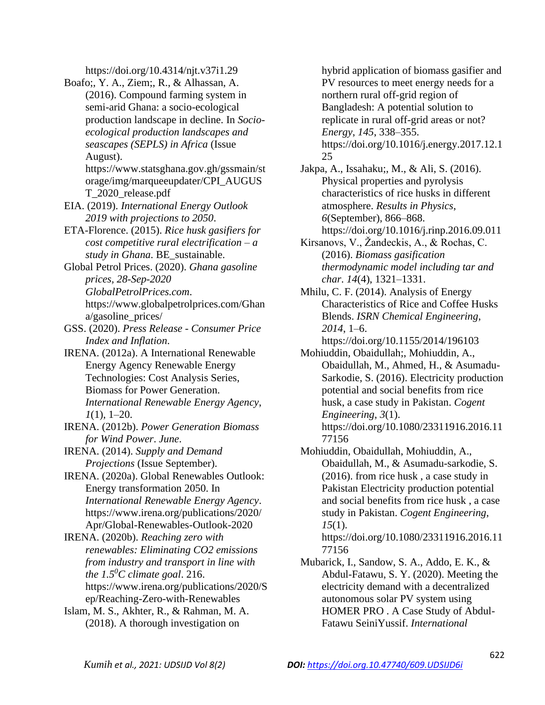https://doi.org/10.4314/njt.v37i1.29

- Boafo;, Y. A., Ziem;, R., & Alhassan, A. (2016). Compound farming system in semi-arid Ghana: a socio-ecological production landscape in decline. In *Socioecological production landscapes and seascapes (SEPLS) in Africa* (Issue August).
	- https://www.statsghana.gov.gh/gssmain/st orage/img/marqueeupdater/CPI\_AUGUS T\_2020\_release.pdf
- EIA. (2019). *International Energy Outlook 2019 with projections to 2050*.
- ETA-Florence. (2015). *Rice husk gasifiers for cost competitive rural electrification – a study in Ghana*. BE\_sustainable.
- Global Petrol Prices. (2020). *Ghana gasoline prices, 28-Sep-2020 GlobalPetrolPrices.com*. https://www.globalpetrolprices.com/Ghan a/gasoline\_prices/
- GSS. (2020). *Press Release - Consumer Price Index and Inflation*.
- IRENA. (2012a). A International Renewable Energy Agency Renewable Energy Technologies: Cost Analysis Series, Biomass for Power Generation. *International Renewable Energy Agency*, *1*(1), 1–20.
- IRENA. (2012b). *Power Generation Biomass for Wind Power*. *June*.
- IRENA. (2014). *Supply and Demand Projections* (Issue September).
- IRENA. (2020a). Global Renewables Outlook: Energy transformation 2050. In *International Renewable Energy Agency*. https://www.irena.org/publications/2020/ Apr/Global-Renewables-Outlook-2020
- IRENA. (2020b). *Reaching zero with renewables: Eliminating CO2 emissions from industry and transport in line with the 1.5<sup>0</sup>C climate goal*. 216. https://www.irena.org/publications/2020/S ep/Reaching-Zero-with-Renewables
- Islam, M. S., Akhter, R., & Rahman, M. A. (2018). A thorough investigation on

hybrid application of biomass gasifier and PV resources to meet energy needs for a northern rural off-grid region of Bangladesh: A potential solution to replicate in rural off-grid areas or not? *Energy*, *145*, 338–355. https://doi.org/10.1016/j.energy.2017.12.1

25 Jakpa, A., Issahaku;, M., & Ali, S. (2016).

- Physical properties and pyrolysis characteristics of rice husks in different atmosphere. *Results in Physics*, *6*(September), 866–868. https://doi.org/10.1016/j.rinp.2016.09.011
- Kirsanovs, V., Žandeckis, A., & Rochas, C. (2016). *Biomass gasification thermodynamic model including tar and char*. *14*(4), 1321–1331.
- Mhilu, C. F. (2014). Analysis of Energy Characteristics of Rice and Coffee Husks Blends. *ISRN Chemical Engineering*, *2014*, 1–6.

```
https://doi.org/10.1155/2014/196103
Mohiuddin, Obaidullah;, Mohiuddin, A.,
```
- Obaidullah, M., Ahmed, H., & Asumadu-Sarkodie, S. (2016). Electricity production potential and social benefits from rice husk, a case study in Pakistan. *Cogent Engineering*, *3*(1). https://doi.org/10.1080/23311916.2016.11 77156
- Mohiuddin, Obaidullah, Mohiuddin, A., Obaidullah, M., & Asumadu-sarkodie, S. (2016). from rice husk , a case study in Pakistan Electricity production potential and social benefits from rice husk , a case study in Pakistan. *Cogent Engineering*, *15*(1).

https://doi.org/10.1080/23311916.2016.11 77156

Mubarick, I., Sandow, S. A., Addo, E. K., & Abdul-Fatawu, S. Y. (2020). Meeting the electricity demand with a decentralized autonomous solar PV system using HOMER PRO . A Case Study of Abdul-Fatawu SeiniYussif. *International*